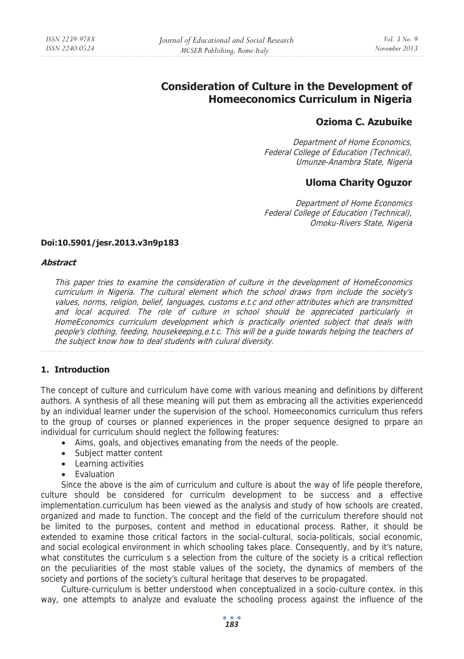# **Consideration of Culture in the Development of Homeeconomics Curriculum in Nigeria**

# **Ozioma C. Azubuike**

Department of Home Economics, Federal College of Education (Technical), Umunze-Anambra State, Nigeria

# **Uloma Charity Oguzor**

Department of Home Economics Federal College of Education (Technical), Omoku-Rivers State, Nigeria

#### **Doi:10.5901/jesr.2013.v3n9p183**

#### **Abstract**

This paper tries to examine the consideration of culture in the development of HomeEconomics curriculum in Nigeria. The cultural element which the school draws from include the society's values, norms, religion, belief, languages, customs e.t.c and other attributes which are transmitted and local acquired. The role of culture in school should be appreciated particularly in HomeEconomics curriculum development which is practically oriented subject that deals with people's clothing, feeding, housekeeping,e.t.c. This will be a guide towards helping the teachers of the subject know how to deal students with culural diversity.

### **1. Introduction**

The concept of culture and curriculum have come with various meaning and definitions by different authors. A synthesis of all these meaning will put them as embracing all the activities experiencedd by an individual learner under the supervision of the school. Homeeconomics curriculum thus refers to the group of courses or planned experiences in the proper sequence designed to prpare an individual for curriculum should neglect the following features:

- Aims, goals, and objectives emanating from the needs of the people.
- Subject matter content
- Learning activities
- Evaluation

Since the above is the aim of curriculum and culture is about the way of life people therefore, culture should be considered for curriculm development to be success and a effective implementation.curriculum has been viewed as the analysis and study of how schools are created, organized and made to function. The concept and the field of the curriculum therefore should not be limited to the purposes, content and method in educational process. Rather, it should be extended to examine those critical factors in the social-cultural, socia-politicals, social economic, and social ecological environment in which schooling takes place. Consequently, and by it's nature, what constitutes the curriculum s a selection from the culture of the society is a critical reflection on the peculiarities of the most stable values of the society, the dynamics of members of the society and portions of the society's cultural heritage that deserves to be propagated.

Culture-curriculum is better understood when conceptualized in a socio-culture contex. in this way, one attempts to analyze and evaluate the schooling process against the influence of the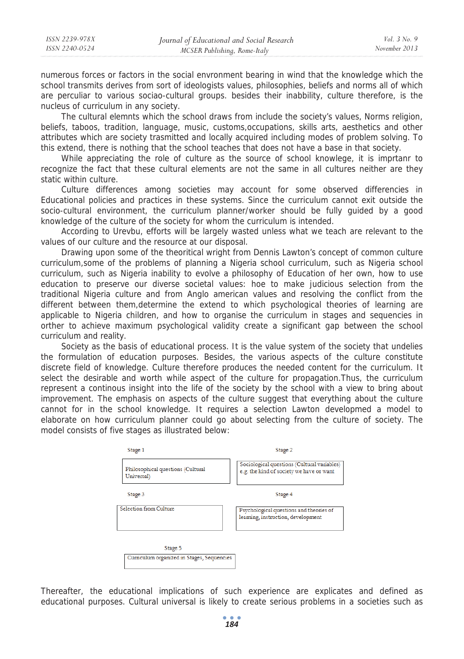numerous forces or factors in the social envronment bearing in wind that the knowledge which the school transmits derives from sort of ideologists values, philosophies, beliefs and norms all of which are perculiar to various sociao-cultural groups. besides their inabbility, culture therefore, is the nucleus of curriculum in any society.

The cultural elemnts which the school draws from include the society's values, Norms religion, beliefs, taboos, tradition, language, music, customs,occupations, skills arts, aesthetics and other attributes which are society trasmitted and locally acquired including modes of problem solving. To this extend, there is nothing that the school teaches that does not have a base in that society.

While appreciating the role of culture as the source of school knowlege, it is imprtanr to recognize the fact that these cultural elements are not the same in all cultures neither are they static within culture.

Culture differences among societies may account for some observed differencies in Educational policies and practices in these systems. Since the curriculum cannot exit outside the socio-cultural environment, the curriculum planner/worker should be fully guided by a good knowledge of the culture of the society for whom the curriculum is intended.

According to Urevbu, efforts will be largely wasted unless what we teach are relevant to the values of our culture and the resource at our disposal.

Drawing upon some of the theoritical wright from Dennis Lawton's concept of common culture curriculum,some of the problems of planning a Nigeria school curriculum, such as Nigeria school curriculum, such as Nigeria inability to evolve a philosophy of Education of her own, how to use education to preserve our diverse societal values: hoe to make judicious selection from the traditional Nigeria culture and from Anglo american values and resolving the conflict from the different between them,determine the extend to which psychological theories of learning are applicable to Nigeria children, and how to organise the curriculum in stages and sequencies in orther to achieve maximum psychological validity create a significant gap between the school curriculum and reality.

Society as the basis of educational process. It is the value system of the society that undelies the formulation of education purposes. Besides, the various aspects of the culture constitute discrete field of knowledge. Culture therefore produces the needed content for the curriculum. It select the desirable and worth while aspect of the culture for propagation.Thus, the curriculum represent a continous insight into the life of the society by the school with a view to bring about improvement. The emphasis on aspects of the culture suggest that everything about the culture cannot for in the school knowledge. It requires a selection Lawton developmed a model to elaborate on how curriculum planner could go about selecting from the culture of society. The model consists of five stages as illustrated below:



Thereafter, the educational implications of such experience are explicates and defined as educational purposes. Cultural universal is likely to create serious problems in a societies such as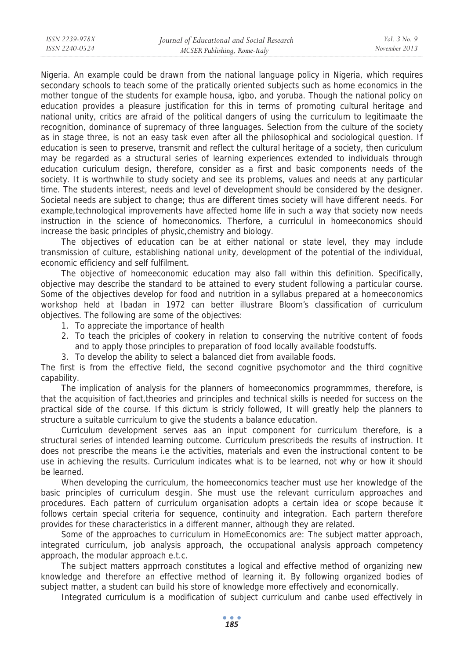Nigeria. An example could be drawn from the national language policy in Nigeria, which requires secondary schools to teach some of the pratically oriented subjects such as home economics in the mother tongue of the students for example housa, igbo, and yoruba. Though the national policy on education provides a pleasure justification for this in terms of promoting cultural heritage and national unity, critics are afraid of the political dangers of using the curriculum to legitimaate the recognition, dominance of supremacy of three languages. Selection from the culture of the society as in stage three, is not an easy task even after all the philosophical and sociological question. If education is seen to preserve, transmit and reflect the cultural heritage of a society, then curiculum may be regarded as a structural series of learning experiences extended to individuals through education curiculum design, therefore, consider as a first and basic components needs of the society. It is worthwhile to study society and see its problems, values and needs at any particular time. The students interest, needs and level of development should be considered by the designer. Societal needs are subject to change; thus are different times society will have different needs. For example,technological improvements have affected home life in such a way that society now needs instruction in the science of homeconomics. Therfore, a curriculul in homeeconomics should increase the basic principles of physic,chemistry and biology.

The objectives of education can be at either national or state level, they may include transmission of culture, establishing national unity, development of the potential of the individual, economic efficiency and self fulfilment.

The objective of homeeconomic education may also fall within this definition. Specifically, objective may describe the standard to be attained to every student following a particular course. Some of the objectives develop for food and nutrition in a syllabus prepared at a homeeconomics workshop held at Ibadan in 1972 can better illustrare Bloom's classification of curriculum objectives. The following are some of the objectives:

1. To appreciate the importance of health

*ISSN 2239-978X ISSN 2240-0524* 

- 2. To teach the priciples of cookery in relation to conserving the nutritive content of foods and to apply those principles to preparation of food locally available foodstuffs.
- 3. To develop the ability to select a balanced diet from available foods.

The first is from the effective field, the second cognitive psychomotor and the third cognitive capability.

The implication of analysis for the planners of homeeconomics programmmes, therefore, is that the acquisition of fact,theories and principles and technical skills is needed for success on the practical side of the course. If this dictum is stricly followed, It will greatly help the planners to structure a suitable curriculum to give the students a balance education.

Curriculum development serves aas an input component for curriculum therefore, is a structural series of intended learning outcome. Curriculum prescribeds the results of instruction. It does not prescribe the means i.e the activities, materials and even the instructional content to be use in achieving the results. Curriculum indicates what is to be learned, not why or how it should be learned.

When developing the curriculum, the homeeconomics teacher must use her knowledge of the basic principles of curriculum desgin. She must use the relevant curriculum approaches and procedures. Each pattern of curriculum organisation adopts a certain idea or scope because it follows certain special criteria for sequence, continuity and integration. Each partern therefore provides for these characteristics in a different manner, although they are related.

Some of the approaches to curriculum in HomeEconomics are: The subject matter approach, integrated curriculum, job analysis approach, the occupational analysis approach competency approach, the modular approach e.t.c.

The subject matters apprroach constitutes a logical and effective method of organizing new knowledge and therefore an effective method of learning it. By following organized bodies of subject matter, a student can build his store of knowledge more effectively and economically.

Integrated curriculum is a modification of subject curriculum and canbe used effectively in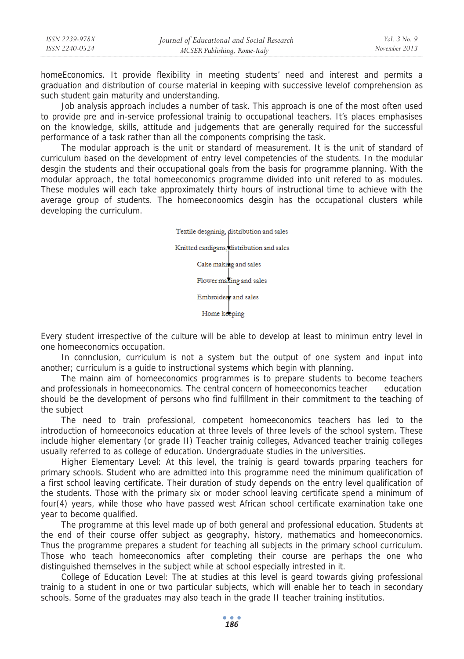| ISSN 2239-978X | Journal of Educational and Social Research | <i>Vol.</i> 3 No. 9 |
|----------------|--------------------------------------------|---------------------|
| ISSN 2240-0524 | MCSER Publishing, Rome-Italy               | November 2013       |
|                |                                            |                     |

homeEconomics. It provide flexibility in meeting students' need and interest and permits a graduation and distribution of course material in keeping with successive levelof comprehension as such student gain maturity and understanding.

Job analysis approach includes a number of task. This approach is one of the most often used to provide pre and in-service professional trainig to occupational teachers. It's places emphasises on the knowledge, skills, attitude and judgements that are generally required for the successful performance of a task rather than all the components comprising the task.

The modular approach is the unit or standard of measurement. It is the unit of standard of curriculum based on the development of entry level competencies of the students. In the modular desgin the students and their occupational goals from the basis for programme planning. With the modular approach, the total homeeconomics programme divided into unit refered to as modules. These modules will each take approximately thirty hours of instructional time to achieve with the average group of students. The homeeconoomics desgin has the occupational clusters while developing the curriculum.

> Textile desgninig, distribution and sales Knitted cardigans, distribution and sales Cake making and sales Flower making and sales Embroider and sales Home keeping

Every student irrespective of the culture will be able to develop at least to minimun entry level in one homeeconomics occupation.

In connclusion, curriculum is not a system but the output of one system and input into another; curriculum is a guide to instructional systems which begin with planning.

The mainn aim of homeeconomics programmes is to prepare students to become teachers and professionals in homeeconomics. The central concern of homeeconomics teacher education should be the development of persons who find fulfillment in their commitment to the teaching of the subject

The need to train professional, competent homeeconomics teachers has led to the introduction of homeeconoics education at three levels of three levels of the school system. These include higher elementary (or grade II) Teacher trainig colleges, Advanced teacher trainig colleges usually referred to as college of education. Undergraduate studies in the universities.

Higher Elementary Level: At this level, the trainig is geard towards prparing teachers for primary schools. Student who are admitted into this programme need the minimum qualification of a first school leaving certificate. Their duration of study depends on the entry level qualification of the students. Those with the primary six or moder school leaving certificate spend a minimum of four(4) years, while those who have passed west African school certificate examination take one year to become qualified.

The programme at this level made up of both general and professional education. Students at the end of their course offer subject as geography, history, mathematics and homeeconomics. Thus the programme prepares a student for teaching all subjects in the primary school curriculum. Those who teach homeeconomics after completing their course are perhaps the one who distinguished themselves in the subject while at school especially intrested in it.

College of Education Level: The at studies at this level is geard towards giving professional trainig to a student in one or two particular subjects, which will enable her to teach in secondary schools. Some of the graduates may also teach in the grade II teacher training institutios.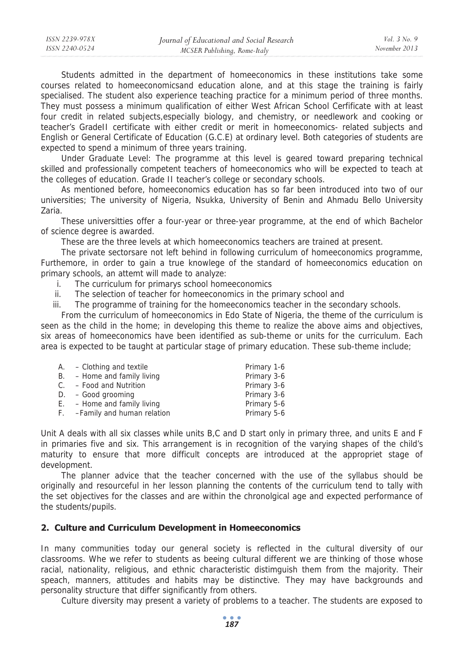Students admitted in the department of homeeconomics in these institutions take some courses related to homeeconomicsand education alone, and at this stage the training is fairly specialised. The student also experience teaching practice for a minimum period of three months. They must possess a minimum qualification of either West African School Cerfificate with at least four credit in related subjects,especially biology, and chemistry, or needlework and cooking or teacher's GradeII certificate with either credit or merit in homeeconomics- related subjects and English or General Certificate of Education (G.C.E) at ordinary level. Both categories of students are expected to spend a minimum of three years training.

Under Graduate Level: The programme at this level is geared toward preparing technical skilled and professionally competent teachers of homeeconomics who will be expected to teach at the colleges of education. Grade II teacher's college or secondary schools.

As mentioned before, homeeconomics education has so far been introduced into two of our universities; The university of Nigeria, Nsukka, University of Benin and Ahmadu Bello University Zaria.

These universitties offer a four-year or three-year programme, at the end of which Bachelor of science degree is awarded.

These are the three levels at which homeeconomics teachers are trained at present.

The private sectorsare not left behind in following curriculum of homeeconomics programme, Furthemore, in order to gain a true knowlege of the standard of homeeconomics education on primary schools, an attemt will made to analyze:

- i. The curriculum for primarys school homeeconomics
- ii. The selection of teacher for homeeconomics in the primary school and
- iii. The programme of training for the homeeconomics teacher in the secondary schools.

From the curriculum of homeeconomics in Edo State of Nigeria, the theme of the curriculum is seen as the child in the home; in developing this theme to realize the above aims and objectives, six areas of homeeconomics have been identified as sub-theme or units for the curriculum. Each area is expected to be taught at particular stage of primary education. These sub-theme include;

| $A. - Clothing$ and textile   | Primary 1-6 |
|-------------------------------|-------------|
| $B. -$ Home and family living | Primary 3-6 |
| $C. - Food$ and Nutrition     | Primary 3-6 |
| $D. - Good$ grooming          | Primary 3-6 |
| $E. -$ Home and family living | Primary 5-6 |
| F. -Family and human relation | Primary 5-6 |

Unit A deals with all six classes while units B,C and D start only in primary three, and units E and F in primaries five and six. This arrangement is in recognition of the varying shapes of the child's maturity to ensure that more difficult concepts are introduced at the appropriet stage of development.

The planner advice that the teacher concerned with the use of the syllabus should be originally and resourceful in her lesson planning the contents of the curriculum tend to tally with the set objectives for the classes and are within the chronolgical age and expected performance of the students/pupils.

### **2. Culture and Curriculum Development in Homeeconomics**

In many communities today our general society is reflected in the cultural diversity of our classrooms. Whe we refer to students as beeing cultural different we are thinking of those whose racial, nationality, religious, and ethnic characteristic distimguish them from the majority. Their speach, manners, attitudes and habits may be distinctive. They may have backgrounds and personality structure that differ significantly from others.

Culture diversity may present a variety of problems to a teacher. The students are exposed to